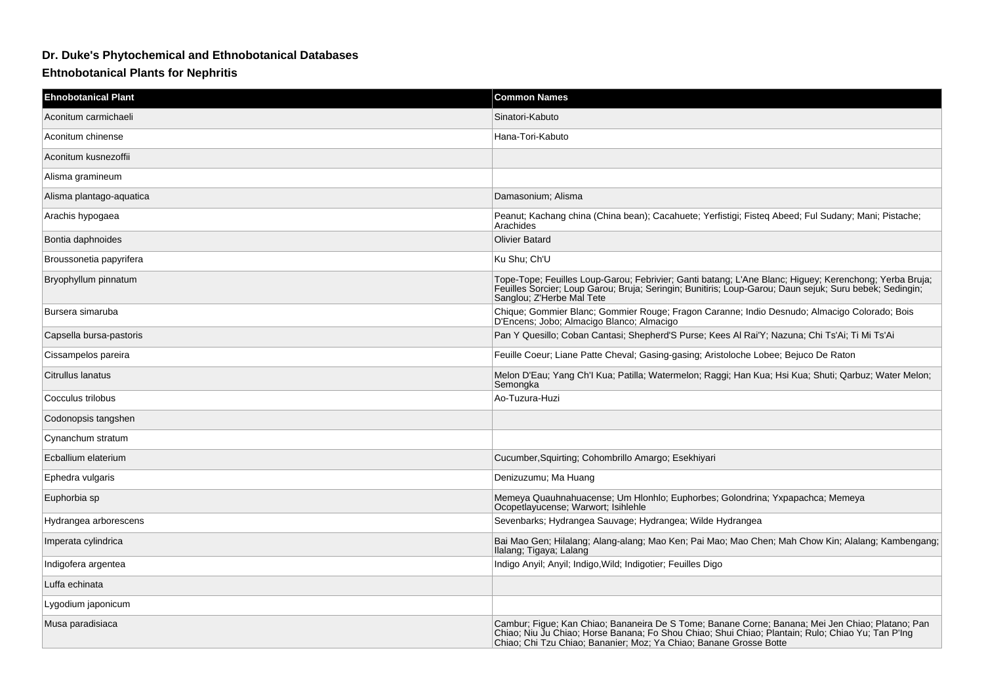## **Dr. Duke's Phytochemical and Ethnobotanical Databases**

## **Ehtnobotanical Plants for Nephritis**

| <b>Ehnobotanical Plant</b> | <b>Common Names</b>                                                                                                                                                                                                                                                         |
|----------------------------|-----------------------------------------------------------------------------------------------------------------------------------------------------------------------------------------------------------------------------------------------------------------------------|
| Aconitum carmichaeli       | Sinatori-Kabuto                                                                                                                                                                                                                                                             |
| Aconitum chinense          | Hana-Tori-Kabuto                                                                                                                                                                                                                                                            |
| Aconitum kusnezoffii       |                                                                                                                                                                                                                                                                             |
| Alisma gramineum           |                                                                                                                                                                                                                                                                             |
| Alisma plantago-aguatica   | Damasonium: Alisma                                                                                                                                                                                                                                                          |
| Arachis hypogaea           | Peanut; Kachang china (China bean); Cacahuete; Yerfistigi; Fisteq Abeed; Ful Sudany; Mani; Pistache;<br>Arachides                                                                                                                                                           |
| Bontia daphnoides          | <b>Olivier Batard</b>                                                                                                                                                                                                                                                       |
| Broussonetia papyrifera    | Ku Shu; Ch'U                                                                                                                                                                                                                                                                |
| Bryophyllum pinnatum       | Tope-Tope; Feuilles Loup-Garou; Febrivier; Ganti batang; L'Ane Blanc; Higuey; Kerenchong; Yerba Bruja;<br>Feuilles Sorcier; Loup Garou; Bruja; Seringin; Bunitiris; Loup-Garou; Daun sejuk; Suru bebek; Sedingin;<br>Sanglou; Z'Herbe Mal Tete                              |
| Bursera simaruba           | Chique; Gommier Blanc; Gommier Rouge; Fragon Caranne; Indio Desnudo; Almacigo Colorado; Bois<br>D'Encens; Jobo; Almacigo Blanco; Almacigo                                                                                                                                   |
| Capsella bursa-pastoris    | Pan Y Quesillo; Coban Cantasi; Shepherd'S Purse; Kees Al Rai'Y; Nazuna; Chi Ts'Ai; Ti Mi Ts'Ai                                                                                                                                                                              |
| Cissampelos pareira        | Feuille Coeur; Liane Patte Cheval; Gasing-gasing; Aristoloche Lobee; Bejuco De Raton                                                                                                                                                                                        |
| Citrullus lanatus          | Melon D'Eau; Yang Ch'l Kua; Patilla; Watermelon; Raggi; Han Kua; Hsi Kua; Shuti; Qarbuz; Water Melon;<br>Semongka                                                                                                                                                           |
| Cocculus trilobus          | Ao-Tuzura-Huzi                                                                                                                                                                                                                                                              |
| Codonopsis tangshen        |                                                                                                                                                                                                                                                                             |
| Cynanchum stratum          |                                                                                                                                                                                                                                                                             |
| Ecballium elaterium        | Cucumber, Squirting; Cohombrillo Amargo; Esekhiyari                                                                                                                                                                                                                         |
| Ephedra vulgaris           | Denizuzumu; Ma Huang                                                                                                                                                                                                                                                        |
| Euphorbia sp               | Memeya Quauhnahuacense; Um Hlonhlo; Euphorbes; Golondrina; Yxpapachca; Memeya<br>Ocopetlayucense; Warwort; Isihlehle                                                                                                                                                        |
| Hydrangea arborescens      | Sevenbarks; Hydrangea Sauvage; Hydrangea; Wilde Hydrangea                                                                                                                                                                                                                   |
| Imperata cylindrica        | Bai Mao Gen; Hilalang; Alang-alang; Mao Ken; Pai Mao; Mao Chen; Mah Chow Kin; Alalang; Kambengang;<br>Ilalang; Tigaya; Lalang                                                                                                                                               |
| Indigofera argentea        | Indigo Anyil; Anyil; Indigo, Wild; Indigotier; Feuilles Digo                                                                                                                                                                                                                |
| Luffa echinata             |                                                                                                                                                                                                                                                                             |
| Lygodium japonicum         |                                                                                                                                                                                                                                                                             |
| Musa paradisiaca           | Cambur; Figue; Kan Chiao; Bananeira De S Tome; Banane Corne; Banana; Mei Jen Chiao; Platano; Pan<br>Chiao; Niu Ju Chiao; Horse Banana; Fo Shou Chiao; Shui Chiao; Plantain; Rulo; Chiao Yu; Tan P'Ing<br>Chiao; Chi Tzu Chiao; Bananier; Moz; Ya Chiao; Banane Grosse Botte |